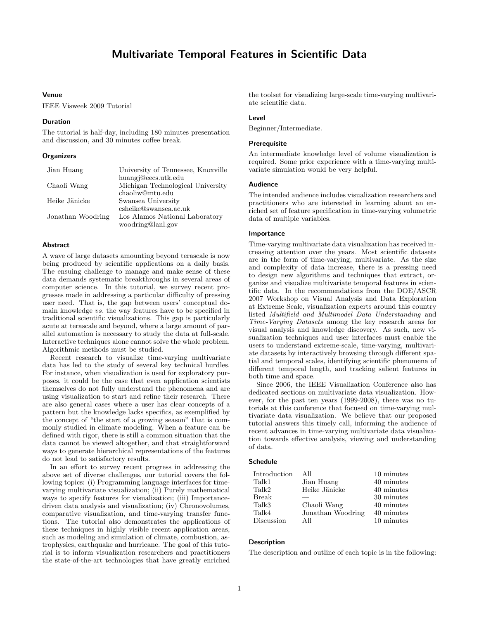# Multivariate Temporal Features in Scientific Data

# Venue

IEEE Visweek 2009 Tutorial

#### Duration

The tutorial is half-day, including 180 minutes presentation and discussion, and 30 minutes coffee break.

## **Organizers**

| Jian Huang        | University of Tennessee, Knoxville |
|-------------------|------------------------------------|
|                   | huangj@eecs.utk.edu                |
| Chaoli Wang       | Michigan Technological University  |
|                   | chaoliw@mtu.edu                    |
| Heike Jänicke     | Swansea University                 |
|                   | csheike@swansea.ac.uk              |
| Jonathan Woodring | Los Alamos National Laboratory     |
|                   | woodring@lanl.gov                  |

# Abstract

A wave of large datasets amounting beyond terascale is now being produced by scientific applications on a daily basis. The ensuing challenge to manage and make sense of these data demands systematic breakthroughs in several areas of computer science. In this tutorial, we survey recent progresses made in addressing a particular difficulty of pressing user need. That is, the gap between users' conceptual domain knowledge vs. the way features have to be specified in traditional scientific visualizations. This gap is particularly acute at terascale and beyond, where a large amount of parallel automation is necessary to study the data at full-scale. Interactive techniques alone cannot solve the whole problem. Algorithmic methods must be studied.

Recent research to visualize time-varying multivariate data has led to the study of several key technical hurdles. For instance, when visualization is used for exploratory purposes, it could be the case that even application scientists themselves do not fully understand the phenomena and are using visualization to start and refine their research. There are also general cases where a user has clear concepts of a pattern but the knowledge lacks specifics, as exemplified by the concept of "the start of a growing season" that is commonly studied in climate modeling. When a feature can be defined with rigor, there is still a common situation that the data cannot be viewed altogether, and that straightforward ways to generate hierarchical representations of the features do not lead to satisfactory results.

In an effort to survey recent progress in addressing the above set of diverse challenges, our tutorial covers the following topics: (i) Programming language interfaces for timevarying multivariate visualization; (ii) Purely mathematical ways to specify features for visualization; (iii) Importancedriven data analysis and visualization; (iv) Chronovolumes, comparative visualization, and time-varying transfer functions. The tutorial also demonstrates the applications of these techniques in highly visible recent application areas, such as modeling and simulation of climate, combustion, astrophysics, earthquake and hurricane. The goal of this tutorial is to inform visualization researchers and practitioners the state-of-the-art technologies that have greatly enriched

the toolset for visualizing large-scale time-varying multivariate scientific data.

## Level

Beginner/Intermediate.

#### Prerequisite

An intermediate knowledge level of volume visualization is required. Some prior experience with a time-varying multivariate simulation would be very helpful.

#### Audience

The intended audience includes visualization researchers and practitioners who are interested in learning about an enriched set of feature specification in time-varying volumetric data of multiple variables.

## Importance

Time-varying multivariate data visualization has received increasing attention over the years. Most scientific datasets are in the form of time-varying, multivariate. As the size and complexity of data increase, there is a pressing need to design new algorithms and techniques that extract, organize and visualize multivariate temporal features in scientific data. In the recommendations from the DOE/ASCR 2007 Workshop on Visual Analysis and Data Exploration at Extreme Scale, visualization experts around this country listed Multifield and Multimodel Data Understanding and Time-Varying Datasets among the key research areas for visual analysis and knowledge discovery. As such, new visualization techniques and user interfaces must enable the users to understand extreme-scale, time-varying, multivariate datasets by interactively browsing through different spatial and temporal scales, identifying scientific phenomena of different temporal length, and tracking salient features in both time and space.

Since 2006, the IEEE Visualization Conference also has dedicated sections on multivariate data visualization. However, for the past ten years (1999-2008), there was no tutorials at this conference that focused on time-varying multivariate data visualization. We believe that our proposed tutorial answers this timely call, informing the audience of recent advances in time-varying multivariate data visualization towards effective analysis, viewing and understanding of data.

## Schedule

| Introduction | All               | 10 minutes |
|--------------|-------------------|------------|
| Talk1        | Jian Huang        | 40 minutes |
| Talk2        | Heike Jänicke     | 40 minutes |
| Break        |                   | 30 minutes |
| Talk3        | Chaoli Wang       | 40 minutes |
| Talk4        | Jonathan Woodring | 40 minutes |
| Discussion   | All               | 10 minutes |

## **Description**

The description and outline of each topic is in the following: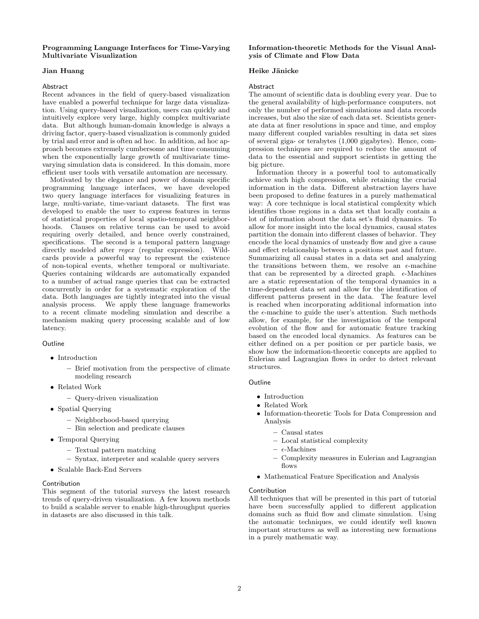# Programming Language Interfaces for Time-Varying Multivariate Visualization

## Jian Huang

#### Abstract

Recent advances in the field of query-based visualization have enabled a powerful technique for large data visualization. Using query-based visualization, users can quickly and intuitively explore very large, highly complex multivariate data. But although human-domain knowledge is always a driving factor, query-based visualization is commonly guided by trial and error and is often ad hoc. In addition, ad hoc approach becomes extremely cumbersome and time consuming when the exponentially large growth of multivariate timevarying simulation data is considered. In this domain, more efficient user tools with versatile automation are necessary.

Motivated by the elegance and power of domain specific programming language interfaces, we have developed two query language interfaces for visualizing features in large, multi-variate, time-variant datasets. The first was developed to enable the user to express features in terms of statistical properties of local spatio-temporal neighborhoods. Clauses on relative terms can be used to avoid requiring overly detailed, and hence overly constrained, specifications. The second is a temporal pattern language directly modeled after regex (regular expression). Wildcards provide a powerful way to represent the existence of non-topical events, whether temporal or multivariate. Queries containing wildcards are automatically expanded to a number of actual range queries that can be extracted concurrently in order for a systematic exploration of the data. Both languages are tightly integrated into the visual analysis process. We apply these language frameworks to a recent climate modeling simulation and describe a mechanism making query processing scalable and of low latency.

# **Outline**

- Introduction
	- Brief motivation from the perspective of climate modeling research
- Related Work
	- Query-driven visualization
- Spatial Querying
	- Neighborhood-based querying
	- Bin selection and predicate clauses
- Temporal Querying
	- Textual pattern matching
	- Syntax, interpreter and scalable query servers
- Scalable Back-End Servers

### **Contribution**

This segment of the tutorial surveys the latest research trends of query-driven visualization. A few known methods to build a scalable server to enable high-throughput queries in datasets are also discussed in this talk.

# Information-theoretic Methods for the Visual Analysis of Climate and Flow Data

# Heike Jänicke

#### Abstract

The amount of scientific data is doubling every year. Due to the general availability of high-performance computers, not only the number of performed simulations and data records increases, but also the size of each data set. Scientists generate data at finer resolutions in space and time, and employ many different coupled variables resulting in data set sizes of several giga- or terabytes (1,000 gigabytes). Hence, compression techniques are required to reduce the amount of data to the essential and support scientists in getting the big picture.

Information theory is a powerful tool to automatically achieve such high compression, while retaining the crucial information in the data. Different abstraction layers have been proposed to define features in a purely mathematical way: A core technique is local statistical complexity which identifies those regions in a data set that locally contain a lot of information about the data set's fluid dynamics. To allow for more insight into the local dynamics, causal states partition the domain into different classes of behavior. They encode the local dynamics of unsteady flow and give a cause and effect relationship between a positions past and future. Summarizing all causal states in a data set and analyzing the transitions between them, we resolve an  $\epsilon$ -machine that can be represented by a directed graph.  $\epsilon$ -Machines are a static representation of the temporal dynamics in a time-dependent data set and allow for the identification of different patterns present in the data. The feature level is reached when incorporating additional information into the  $\epsilon$ -machine to guide the user's attention. Such methods allow, for example, for the investigation of the temporal evolution of the flow and for automatic feature tracking based on the encoded local dynamics. As features can be either defined on a per position or per particle basis, we show how the information-theoretic concepts are applied to Eulerian and Lagrangian flows in order to detect relevant structures.

## Outline

- Introduction
- Related Work
- Information-theoretic Tools for Data Compression and Analysis
	- Causal states
	- Local statistical complexity
	- $\epsilon$ -Machines
	- Complexity measures in Eulerian and Lagrangian flows
- Mathematical Feature Specification and Analysis

#### Contribution

All techniques that will be presented in this part of tutorial have been successfully applied to different application domains such as fluid flow and climate simulation. Using the automatic techniques, we could identify well known important structures as well as interesting new formations in a purely mathematic way.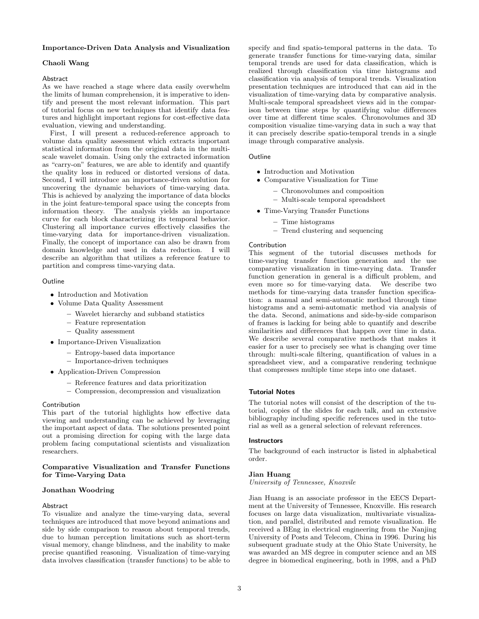# Importance-Driven Data Analysis and Visualization

# Chaoli Wang

#### Abstract

As we have reached a stage where data easily overwhelm the limits of human comprehension, it is imperative to identify and present the most relevant information. This part of tutorial focus on new techniques that identify data features and highlight important regions for cost-effective data evaluation, viewing and understanding.

First, I will present a reduced-reference approach to volume data quality assessment which extracts important statistical information from the original data in the multiscale wavelet domain. Using only the extracted information as "carry-on" features, we are able to identify and quantify the quality loss in reduced or distorted versions of data. Second, I will introduce an importance-driven solution for uncovering the dynamic behaviors of time-varying data. This is achieved by analyzing the importance of data blocks in the joint feature-temporal space using the concepts from information theory. The analysis yields an importance curve for each block characterizing its temporal behavior. Clustering all importance curves effectively classifies the time-varying data for importance-driven visualization. Finally, the concept of importance can also be drawn from domain knowledge and used in data reduction. I will describe an algorithm that utilizes a reference feature to partition and compress time-varying data.

## Outline

- Introduction and Motivation
- Volume Data Quality Assessment
	- Wavelet hierarchy and subband statistics
	- Feature representation
	- Quality assessment
- Importance-Driven Visualization
	- Entropy-based data importance
	- Importance-driven techniques
- Application-Driven Compression
	- Reference features and data prioritization
	- Compression, decompression and visualization

#### Contribution

This part of the tutorial highlights how effective data viewing and understanding can be achieved by leveraging the important aspect of data. The solutions presented point out a promising direction for coping with the large data problem facing computational scientists and visualization researchers.

#### Comparative Visualization and Transfer Functions for Time-Varying Data

#### Jonathan Woodring

## Abstract

To visualize and analyze the time-varying data, several techniques are introduced that move beyond animations and side by side comparison to reason about temporal trends, due to human perception limitations such as short-term visual memory, change blindness, and the inability to make precise quantified reasoning. Visualization of time-varying data involves classification (transfer functions) to be able to specify and find spatio-temporal patterns in the data. To generate transfer functions for time-varying data, similar temporal trends are used for data classification, which is realized through classification via time histograms and classification via analysis of temporal trends. Visualization presentation techniques are introduced that can aid in the visualization of time-varying data by comparative analysis. Multi-scale temporal spreadsheet views aid in the comparison between time steps by quantifying value differences over time at different time scales. Chronovolumes and 3D composition visualize time-varying data in such a way that it can precisely describe spatio-temporal trends in a single image through comparative analysis.

# Outline

- Introduction and Motivation
- Comparative Visualization for Time
	- Chronovolumes and composition
	- Multi-scale temporal spreadsheet
- Time-Varying Transfer Functions
	- Time histograms
	- Trend clustering and sequencing

#### Contribution

This segment of the tutorial discusses methods for time-varying transfer function generation and the use comparative visualization in time-varying data. Transfer function generation in general is a difficult problem, and even more so for time-varying data. We describe two methods for time-varying data transfer function specification: a manual and semi-automatic method through time histograms and a semi-automatic method via analysis of the data. Second, animations and side-by-side comparison of frames is lacking for being able to quantify and describe similarities and differences that happen over time in data. We describe several comparative methods that makes it easier for a user to precisely see what is changing over time through: multi-scale filtering, quantification of values in a spreadsheet view, and a comparative rendering technique that compresses multiple time steps into one dataset.

#### Tutorial Notes

The tutorial notes will consist of the description of the tutorial, copies of the slides for each talk, and an extensive bibliography including specific references used in the tutorial as well as a general selection of relevant references.

## **Instructors**

The background of each instructor is listed in alphabetical order.

### Jian Huang

University of Tennessee, Knoxvile

Jian Huang is an associate professor in the EECS Department at the University of Tennessee, Knoxville. His research focuses on large data visualization, multivariate visualization, and parallel, distributed and remote visualization. He received a BEng in electrical engineering from the Nanjing University of Posts and Telecom, China in 1996. During his subsequent graduate study at the Ohio State University, he was awarded an MS degree in computer science and an MS degree in biomedical engineering, both in 1998, and a PhD